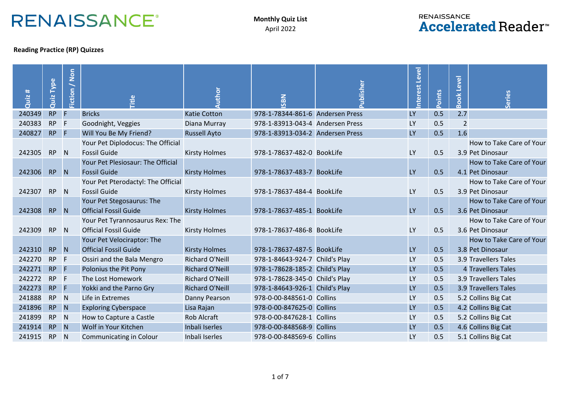## **RENAISSANCE®**

## **RENAISSANCE Accelerated Reader**<sup>™</sup>

## **Reading Practice (RP) Quizzes**

| Quiz # | <b>Type</b><br>Quiz | Fiction / Non | itle                               | Author                 | SBN                              | ublisher | nterest<br>Level | Points | <b>Book Level</b> | Series                   |
|--------|---------------------|---------------|------------------------------------|------------------------|----------------------------------|----------|------------------|--------|-------------------|--------------------------|
| 240349 | <b>RP</b>           | F             | <b>Bricks</b>                      | <b>Katie Cotton</b>    | 978-1-78344-861-6 Andersen Press |          | <b>LY</b>        | 0.5    | 2.7               |                          |
| 240383 | <b>RP</b>           | F             | Goodnight, Veggies                 | Diana Murray           | 978-1-83913-043-4 Andersen Press |          | LY               | 0.5    | $\overline{2}$    |                          |
| 240827 | RP                  | F             | Will You Be My Friend?             | <b>Russell Ayto</b>    | 978-1-83913-034-2 Andersen Press |          | <b>LY</b>        | 0.5    | 1.6               |                          |
|        |                     |               | Your Pet Diplodocus: The Official  |                        |                                  |          |                  |        |                   | How to Take Care of Your |
| 242305 | <b>RP</b>           | N             | <b>Fossil Guide</b>                | <b>Kirsty Holmes</b>   | 978-1-78637-482-0 BookLife       |          | <b>LY</b>        | 0.5    |                   | 3.9 Pet Dinosaur         |
|        |                     |               | Your Pet Plesiosaur: The Official  |                        |                                  |          |                  |        |                   | How to Take Care of Your |
| 242306 | <b>RP</b>           | N             | <b>Fossil Guide</b>                | <b>Kirsty Holmes</b>   | 978-1-78637-483-7 BookLife       |          | <b>LY</b>        | 0.5    |                   | 4.1 Pet Dinosaur         |
|        |                     |               | Your Pet Pterodactyl: The Official |                        |                                  |          |                  |        |                   | How to Take Care of Your |
| 242307 | <b>RP</b>           | N             | <b>Fossil Guide</b>                | <b>Kirsty Holmes</b>   | 978-1-78637-484-4 BookLife       |          | LY               | 0.5    |                   | 3.9 Pet Dinosaur         |
|        |                     |               | Your Pet Stegosaurus: The          |                        |                                  |          |                  |        |                   | How to Take Care of Your |
| 242308 | <b>RP</b>           | <b>N</b>      | <b>Official Fossil Guide</b>       | <b>Kirsty Holmes</b>   | 978-1-78637-485-1 BookLife       |          | <b>LY</b>        | 0.5    |                   | 3.6 Pet Dinosaur         |
|        |                     |               | Your Pet Tyrannosaurus Rex: The    |                        |                                  |          |                  |        |                   | How to Take Care of Your |
| 242309 | <b>RP</b>           | N             | <b>Official Fossil Guide</b>       | <b>Kirsty Holmes</b>   | 978-1-78637-486-8 BookLife       |          | <b>LY</b>        | 0.5    |                   | 3.6 Pet Dinosaur         |
|        |                     |               | Your Pet Velociraptor: The         |                        |                                  |          |                  |        |                   | How to Take Care of Your |
| 242310 | <b>RP</b>           | N             | <b>Official Fossil Guide</b>       | <b>Kirsty Holmes</b>   | 978-1-78637-487-5 BookLife       |          | <b>LY</b>        | 0.5    |                   | 3.8 Pet Dinosaur         |
| 242270 | <b>RP</b>           | F             | Ossiri and the Bala Mengro         | <b>Richard O'Neill</b> | 978-1-84643-924-7 Child's Play   |          | LY               | 0.5    |                   | 3.9 Travellers Tales     |
| 242271 | <b>RP</b>           | F             | Polonius the Pit Pony              | <b>Richard O'Neill</b> | 978-1-78628-185-2 Child's Play   |          | <b>LY</b>        | 0.5    |                   | 4 Travellers Tales       |
| 242272 | <b>RP</b>           | F             | The Lost Homework                  | <b>Richard O'Neill</b> | 978-1-78628-345-0 Child's Play   |          | <b>LY</b>        | 0.5    |                   | 3.9 Travellers Tales     |
| 242273 | <b>RP</b>           | F             | Yokki and the Parno Gry            | <b>Richard O'Neill</b> | 978-1-84643-926-1 Child's Play   |          | <b>LY</b>        | 0.5    |                   | 3.9 Travellers Tales     |
| 241888 | <b>RP</b>           | N             | Life in Extremes                   | Danny Pearson          | 978-0-00-848561-0 Collins        |          | LY               | 0.5    |                   | 5.2 Collins Big Cat      |
| 241896 | <b>RP</b>           | N             | <b>Exploring Cyberspace</b>        | Lisa Rajan             | 978-0-00-847625-0 Collins        |          | <b>LY</b>        | 0.5    |                   | 4.2 Collins Big Cat      |
| 241899 | <b>RP</b>           | $\mathsf{N}$  | How to Capture a Castle            | <b>Rob Alcraft</b>     | 978-0-00-847628-1 Collins        |          | <b>LY</b>        | 0.5    |                   | 5.2 Collins Big Cat      |
| 241914 | <b>RP</b>           | N             | Wolf in Your Kitchen               | Inbali Iserles         | 978-0-00-848568-9 Collins        |          | <b>LY</b>        | 0.5    |                   | 4.6 Collins Big Cat      |
| 241915 | <b>RP</b>           | N             | Communicating in Colour            | Inbali Iserles         | 978-0-00-848569-6 Collins        |          | LY               | 0.5    |                   | 5.1 Collins Big Cat      |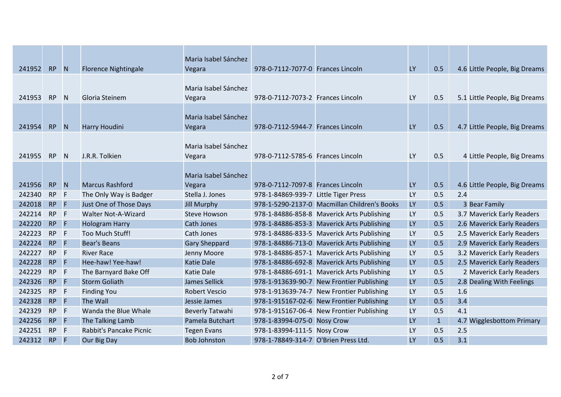| 241952 | <b>RP</b> | $\blacksquare$ N | <b>Florence Nightingale</b> | Maria Isabel Sánchez<br>Vegara | 978-0-7112-7077-0 Frances Lincoln    |                                              | <b>LY</b> | 0.5          |     | 4.6 Little People, Big Dreams |
|--------|-----------|------------------|-----------------------------|--------------------------------|--------------------------------------|----------------------------------------------|-----------|--------------|-----|-------------------------------|
|        |           |                  |                             |                                |                                      |                                              |           |              |     |                               |
|        |           |                  |                             | Maria Isabel Sánchez           |                                      |                                              |           |              |     |                               |
| 241953 | <b>RP</b> | <sup>N</sup>     | Gloria Steinem              | Vegara                         | 978-0-7112-7073-2 Frances Lincoln    |                                              | LY        | 0.5          |     | 5.1 Little People, Big Dreams |
|        |           |                  |                             | Maria Isabel Sánchez           |                                      |                                              |           |              |     |                               |
| 241954 | <b>RP</b> | N                | Harry Houdini               | Vegara                         | 978-0-7112-5944-7 Frances Lincoln    |                                              | <b>LY</b> | 0.5          |     | 4.7 Little People, Big Dreams |
|        |           |                  |                             |                                |                                      |                                              |           |              |     |                               |
|        |           |                  |                             | Maria Isabel Sánchez           |                                      |                                              |           |              |     |                               |
| 241955 | <b>RP</b> | N                | J.R.R. Tolkien              | Vegara                         | 978-0-7112-5785-6 Frances Lincoln    |                                              | LY        | 0.5          |     | 4 Little People, Big Dreams   |
|        |           |                  |                             |                                |                                      |                                              |           |              |     |                               |
|        |           |                  |                             | Maria Isabel Sánchez           |                                      |                                              |           |              |     |                               |
| 241956 | <b>RP</b> | N                | <b>Marcus Rashford</b>      | Vegara                         | 978-0-7112-7097-8 Frances Lincoln    |                                              | <b>LY</b> | 0.5          |     | 4.6 Little People, Big Dreams |
| 242340 | <b>RP</b> | F                | The Only Way is Badger      | Stella J. Jones                | 978-1-84869-939-7 Little Tiger Press |                                              | <b>LY</b> | 0.5          | 2.4 |                               |
| 242018 | <b>RP</b> | F                | Just One of Those Days      | <b>Jill Murphy</b>             |                                      | 978-1-5290-2137-0 Macmillan Children's Books | <b>LY</b> | 0.5          |     | 3 Bear Family                 |
| 242214 | <b>RP</b> | F                | Walter Not-A-Wizard         | <b>Steve Howson</b>            |                                      | 978-1-84886-858-8 Maverick Arts Publishing   | LY        | 0.5          |     | 3.7 Maverick Early Readers    |
| 242220 | <b>RP</b> | F                | <b>Hologram Harry</b>       | Cath Jones                     |                                      | 978-1-84886-853-3 Maverick Arts Publishing   | LY        | 0.5          |     | 2.6 Maverick Early Readers    |
| 242223 | <b>RP</b> | F                | Too Much Stuff!             | Cath Jones                     |                                      | 978-1-84886-833-5 Maverick Arts Publishing   | LY        | 0.5          |     | 2.5 Maverick Early Readers    |
| 242224 | <b>RP</b> | F                | <b>Bear's Beans</b>         | <b>Gary Sheppard</b>           |                                      | 978-1-84886-713-0 Maverick Arts Publishing   | <b>LY</b> | 0.5          |     | 2.9 Maverick Early Readers    |
| 242227 | <b>RP</b> | F                | <b>River Race</b>           | Jenny Moore                    |                                      | 978-1-84886-857-1 Maverick Arts Publishing   | LY        | 0.5          |     | 3.2 Maverick Early Readers    |
| 242228 | <b>RP</b> | E                | Hee-haw! Yee-haw!           | <b>Katie Dale</b>              |                                      | 978-1-84886-692-8 Maverick Arts Publishing   | LY        | 0.5          |     | 2.5 Maverick Early Readers    |
| 242229 | <b>RP</b> | F                | The Barnyard Bake Off       | <b>Katie Dale</b>              |                                      | 978-1-84886-691-1 Maverick Arts Publishing   | LY        | 0.5          |     | 2 Maverick Early Readers      |
| 242326 | <b>RP</b> | F                | <b>Storm Goliath</b>        | James Sellick                  |                                      | 978-1-913639-90-7 New Frontier Publishing    | <b>LY</b> | 0.5          |     | 2.8 Dealing With Feelings     |
| 242325 | <b>RP</b> | F                | <b>Finding You</b>          | <b>Robert Vescio</b>           |                                      | 978-1-913639-74-7 New Frontier Publishing    | LY        | 0.5          | 1.6 |                               |
| 242328 | <b>RP</b> | F                | The Wall                    | Jessie James                   |                                      | 978-1-915167-02-6 New Frontier Publishing    | LY        | 0.5          | 3.4 |                               |
| 242329 | <b>RP</b> | F                | Wanda the Blue Whale        | Beverly Tatwahi                |                                      | 978-1-915167-06-4 New Frontier Publishing    | LY        | 0.5          | 4.1 |                               |
| 242256 | <b>RP</b> | F                | The Talking Lamb            | Pamela Butchart                | 978-1-83994-075-0 Nosy Crow          |                                              | LY        | $\mathbf{1}$ |     | 4.7 Wigglesbottom Primary     |
| 242251 | <b>RP</b> | F                | Rabbit's Pancake Picnic     | <b>Tegen Evans</b>             | 978-1-83994-111-5 Nosy Crow          |                                              | LY        | 0.5          | 2.5 |                               |
| 242312 | <b>RP</b> | F                | Our Big Day                 | <b>Bob Johnston</b>            | 978-1-78849-314-7 O'Brien Press Ltd. |                                              | LY        | 0.5          | 3.1 |                               |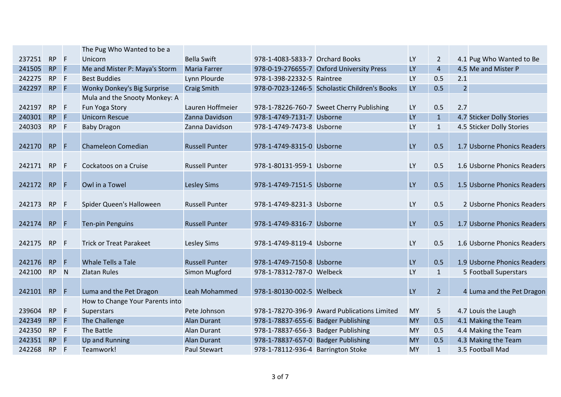|        |           |                | The Pug Who Wanted to be a         |                       |                                     |                                               |           |                |                             |
|--------|-----------|----------------|------------------------------------|-----------------------|-------------------------------------|-----------------------------------------------|-----------|----------------|-----------------------------|
| 237251 | <b>RP</b> | $-F$           | Unicorn                            | <b>Bella Swift</b>    | 978-1-4083-5833-7 Orchard Books     |                                               | LY        | $\overline{2}$ | 4.1 Pug Who Wanted to Be    |
| 241505 | RP        | $\overline{F}$ | Me and Mister P: Maya's Storm      | <b>Maria Farrer</b>   |                                     | 978-0-19-276655-7 Oxford University Press     | LY        | $\overline{4}$ | 4.5 Me and Mister P         |
| 242275 | <b>RP</b> | $-F$           | <b>Best Buddies</b>                | Lynn Plourde          | 978-1-398-22332-5 Raintree          |                                               | LY        | 0.5            | 2.1                         |
| 242297 | <b>RP</b> | $-$ F          | <b>Wonky Donkey's Big Surprise</b> | <b>Craig Smith</b>    |                                     | 978-0-7023-1246-5 Scholastic Children's Books | <b>LY</b> | 0.5            | $\overline{2}$              |
|        |           |                | Mula and the Snooty Monkey: A      |                       |                                     |                                               |           |                |                             |
| 242197 | <b>RP</b> | F              | Fun Yoga Story                     | Lauren Hoffmeier      |                                     | 978-1-78226-760-7 Sweet Cherry Publishing     | <b>LY</b> | 0.5            | 2.7                         |
| 240301 | <b>RP</b> | F              | <b>Unicorn Rescue</b>              | Zanna Davidson        | 978-1-4749-7131-7 Usborne           |                                               | <b>LY</b> | $\mathbf{1}$   | 4.7 Sticker Dolly Stories   |
| 240303 | <b>RP</b> | $-F$           | <b>Baby Dragon</b>                 | Zanna Davidson        | 978-1-4749-7473-8 Usborne           |                                               | <b>LY</b> | $\mathbf{1}$   | 4.5 Sticker Dolly Stories   |
|        |           |                |                                    |                       |                                     |                                               |           |                |                             |
| 242170 | <b>RP</b> | F              | Chameleon Comedian                 | <b>Russell Punter</b> | 978-1-4749-8315-0 Usborne           |                                               | <b>LY</b> | 0.5            | 1.7 Usborne Phonics Readers |
|        |           |                |                                    |                       |                                     |                                               |           |                |                             |
| 242171 | <b>RP</b> | F              | Cockatoos on a Cruise              | <b>Russell Punter</b> | 978-1-80131-959-1 Usborne           |                                               | <b>LY</b> | 0.5            | 1.6 Usborne Phonics Readers |
|        |           |                |                                    |                       |                                     |                                               |           |                |                             |
| 242172 | <b>RP</b> | $\overline{F}$ | Owl in a Towel                     | <b>Lesley Sims</b>    | 978-1-4749-7151-5 Usborne           |                                               | <b>LY</b> | 0.5            | 1.5 Usborne Phonics Readers |
|        |           |                |                                    |                       |                                     |                                               |           |                |                             |
| 242173 | RP        | $-F$           | Spider Queen's Halloween           | <b>Russell Punter</b> | 978-1-4749-8231-3 Usborne           |                                               | <b>LY</b> | 0.5            | 2 Usborne Phonics Readers   |
|        |           |                |                                    |                       |                                     |                                               |           |                |                             |
| 242174 | <b>RP</b> | - IF           | <b>Ten-pin Penguins</b>            | <b>Russell Punter</b> | 978-1-4749-8316-7 Usborne           |                                               | <b>LY</b> | 0.5            | 1.7 Usborne Phonics Readers |
|        |           |                |                                    |                       |                                     |                                               |           |                |                             |
| 242175 | <b>RP</b> | $-F$           | <b>Trick or Treat Parakeet</b>     | <b>Lesley Sims</b>    | 978-1-4749-8119-4 Usborne           |                                               | <b>LY</b> | 0.5            | 1.6 Usborne Phonics Readers |
|        |           |                |                                    |                       |                                     |                                               |           |                |                             |
| 242176 | <b>RP</b> | F              | <b>Whale Tells a Tale</b>          | <b>Russell Punter</b> | 978-1-4749-7150-8 Usborne           |                                               | <b>LY</b> | 0.5            | 1.9 Usborne Phonics Readers |
| 242100 | <b>RP</b> | N              | <b>Zlatan Rules</b>                | Simon Mugford         | 978-1-78312-787-0 Welbeck           |                                               | <b>LY</b> | $\mathbf{1}$   | 5 Football Superstars       |
|        |           |                |                                    |                       |                                     |                                               |           |                |                             |
| 242101 | <b>RP</b> | $\mathsf{F}$   | Luma and the Pet Dragon            | Leah Mohammed         | 978-1-80130-002-5 Welbeck           |                                               | LY        | 2 <sup>1</sup> | 4 Luma and the Pet Dragon   |
|        |           |                | How to Change Your Parents into    |                       |                                     |                                               |           |                |                             |
| 239604 | <b>RP</b> | - F            | Superstars                         | Pete Johnson          |                                     | 978-1-78270-396-9 Award Publications Limited  | <b>MY</b> | 5              | 4.7 Louis the Laugh         |
| 242349 | RP F      |                | The Challenge                      | <b>Alan Durant</b>    | 978-1-78837-655-6 Badger Publishing |                                               | <b>MY</b> | 0.5            | 4.1 Making the Team         |
| 242350 | RP F      |                | The Battle                         | <b>Alan Durant</b>    | 978-1-78837-656-3 Badger Publishing |                                               | MY        | 0.5            | 4.4 Making the Team         |
| 242351 | <b>RP</b> | $\mathsf{F}$   | <b>Up and Running</b>              | <b>Alan Durant</b>    | 978-1-78837-657-0 Badger Publishing |                                               | <b>MY</b> | 0.5            | 4.3 Making the Team         |
| 242268 | RP F      |                | Teamwork!                          | <b>Paul Stewart</b>   | 978-1-78112-936-4 Barrington Stoke  |                                               | <b>MY</b> | $\mathbf{1}$   | 3.5 Football Mad            |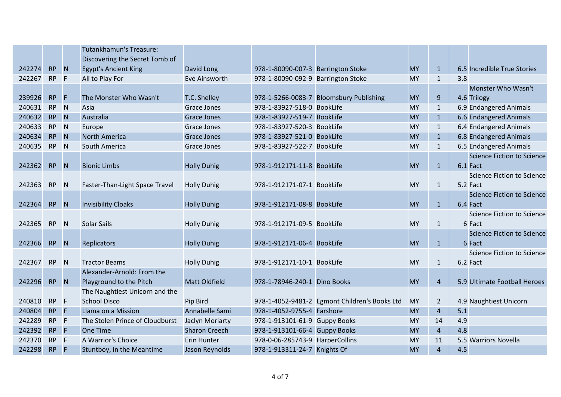|        |           |                | Tutankhamun's Treasure:         |                      |                                    |                                               |           |                |     |                                   |
|--------|-----------|----------------|---------------------------------|----------------------|------------------------------------|-----------------------------------------------|-----------|----------------|-----|-----------------------------------|
|        |           |                | Discovering the Secret Tomb of  |                      |                                    |                                               |           |                |     |                                   |
| 242274 | <b>RP</b> | N              | <b>Egypt's Ancient King</b>     | David Long           | 978-1-80090-007-3 Barrington Stoke |                                               | <b>MY</b> | $\mathbf{1}$   |     | 6.5 Incredible True Stories       |
| 242267 | <b>RP</b> | F              | All to Play For                 | Eve Ainsworth        | 978-1-80090-092-9 Barrington Stoke |                                               | <b>MY</b> | $\mathbf{1}$   | 3.8 |                                   |
|        |           |                |                                 |                      |                                    |                                               |           |                |     | Monster Who Wasn't                |
| 239926 | <b>RP</b> | F              | The Monster Who Wasn't          | T.C. Shelley         |                                    | 978-1-5266-0083-7 Bloomsbury Publishing       | <b>MY</b> | $\overline{9}$ |     | 4.6 Trilogy                       |
| 240631 | <b>RP</b> | N <sub>1</sub> | Asia                            | <b>Grace Jones</b>   | 978-1-83927-518-0 BookLife         |                                               | MY        | $\mathbf{1}$   |     | 6.9 Endangered Animals            |
| 240632 | <b>RP</b> | <b>N</b>       | Australia                       | <b>Grace Jones</b>   | 978-1-83927-519-7 BookLife         |                                               | <b>MY</b> | $\mathbf{1}$   |     | 6.6 Endangered Animals            |
| 240633 | <b>RP</b> | N <sub>1</sub> | Europe                          | Grace Jones          | 978-1-83927-520-3 BookLife         |                                               | <b>MY</b> | $\mathbf{1}$   |     | 6.4 Endangered Animals            |
| 240634 | <b>RP</b> | N              | <b>North America</b>            | <b>Grace Jones</b>   | 978-1-83927-521-0 BookLife         |                                               | <b>MY</b> | $\mathbf{1}$   |     | 6.8 Endangered Animals            |
| 240635 | RP        | N              | South America                   | <b>Grace Jones</b>   | 978-1-83927-522-7 BookLife         |                                               | MY        | $\mathbf{1}$   |     | 6.5 Endangered Animals            |
|        |           |                |                                 |                      |                                    |                                               |           |                |     | <b>Science Fiction to Science</b> |
| 242362 | <b>RP</b> | <b>N</b>       | <b>Bionic Limbs</b>             | <b>Holly Duhig</b>   | 978-1-912171-11-8 BookLife         |                                               | <b>MY</b> | $\mathbf{1}$   |     | 6.1 Fact                          |
|        |           |                |                                 |                      |                                    |                                               |           |                |     | <b>Science Fiction to Science</b> |
| 242363 | <b>RP</b> | N              | Faster-Than-Light Space Travel  | <b>Holly Duhig</b>   | 978-1-912171-07-1 BookLife         |                                               | <b>MY</b> | $\mathbf{1}$   |     | 5.2 Fact                          |
|        |           |                |                                 |                      |                                    |                                               |           |                |     | Science Fiction to Science        |
| 242364 | <b>RP</b> | <b>N</b>       | <b>Invisibility Cloaks</b>      | <b>Holly Duhig</b>   | 978-1-912171-08-8 BookLife         |                                               | <b>MY</b> | $\mathbf{1}$   |     | 6.4 Fact                          |
|        |           |                |                                 |                      |                                    |                                               |           |                |     | Science Fiction to Science        |
| 242365 | <b>RP</b> | <b>N</b>       | <b>Solar Sails</b>              | <b>Holly Duhig</b>   | 978-1-912171-09-5 BookLife         |                                               | <b>MY</b> | $\mathbf{1}$   |     | 6 Fact                            |
|        |           |                |                                 |                      |                                    |                                               |           |                |     | <b>Science Fiction to Science</b> |
| 242366 | <b>RP</b> | N              | Replicators                     | <b>Holly Duhig</b>   | 978-1-912171-06-4 BookLife         |                                               | <b>MY</b> | $\mathbf{1}$   |     | 6 Fact                            |
|        |           |                |                                 |                      |                                    |                                               |           |                |     | <b>Science Fiction to Science</b> |
| 242367 | <b>RP</b> | <b>N</b>       | <b>Tractor Beams</b>            | <b>Holly Duhig</b>   | 978-1-912171-10-1 BookLife         |                                               | <b>MY</b> | $\mathbf{1}$   |     | 6.2 Fact                          |
|        |           |                | Alexander-Arnold: From the      |                      |                                    |                                               |           |                |     |                                   |
| 242296 | <b>RP</b> | N              | Playground to the Pitch         | <b>Matt Oldfield</b> | 978-1-78946-240-1 Dino Books       |                                               | <b>MY</b> | $\overline{4}$ |     | 5.9 Ultimate Football Heroes      |
|        |           |                | The Naughtiest Unicorn and the  |                      |                                    |                                               |           |                |     |                                   |
| 240810 | <b>RP</b> | F              | <b>School Disco</b>             | Pip Bird             |                                    | 978-1-4052-9481-2 Egmont Children's Books Ltd | <b>MY</b> | $\overline{2}$ |     | 4.9 Naughtiest Unicorn            |
| 240804 | <b>RP</b> | <b>F</b>       | Llama on a Mission              | Annabelle Sami       | 978-1-4052-9755-4 Farshore         |                                               | <b>MY</b> | $\overline{4}$ | 5.1 |                                   |
| 242289 | <b>RP</b> | F              | The Stolen Prince of Cloudburst | Jaclyn Moriarty      | 978-1-913101-61-9 Guppy Books      |                                               | <b>MY</b> | 14             | 4.9 |                                   |
| 242392 | RP F      |                | <b>One Time</b>                 | <b>Sharon Creech</b> | 978-1-913101-66-4 Guppy Books      |                                               | <b>MY</b> | $\overline{4}$ | 4.8 |                                   |
| 242370 | <b>RP</b> | E              | A Warrior's Choice              | <b>Erin Hunter</b>   | 978-0-06-285743-9 HarperCollins    |                                               | MY        | 11             |     | 5.5 Warriors Novella              |
| 242298 | <b>RP</b> | IF.            | Stuntboy, in the Meantime       | Jason Reynolds       | 978-1-913311-24-7 Knights Of       |                                               | <b>MY</b> | $\overline{4}$ | 4.5 |                                   |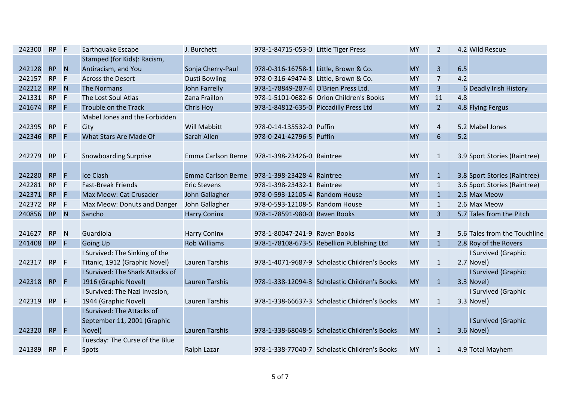| 242300 | RP F      |                | Earthquake Escape                | J. Burchett               | 978-1-84715-053-0 Little Tiger Press   |                                               | <b>MY</b> | $\overline{2}$ | 4.2 Wild Rescue              |
|--------|-----------|----------------|----------------------------------|---------------------------|----------------------------------------|-----------------------------------------------|-----------|----------------|------------------------------|
|        |           |                | Stamped (for Kids): Racism,      |                           |                                        |                                               |           |                |                              |
| 242128 | <b>RP</b> | N              | Antiracism, and You              | Sonja Cherry-Paul         | 978-0-316-16758-1 Little, Brown & Co.  |                                               | <b>MY</b> | $\overline{3}$ | 6.5                          |
| 242157 | <b>RP</b> | F              | <b>Across the Desert</b>         | <b>Dusti Bowling</b>      | 978-0-316-49474-8 Little, Brown & Co.  |                                               | <b>MY</b> | $\overline{7}$ | 4.2                          |
| 242212 | <b>RP</b> | $\blacksquare$ | The Normans                      | John Farrelly             | 978-1-78849-287-4 O'Brien Press Ltd.   |                                               | <b>MY</b> | $\overline{3}$ | 6 Deadly Irish History       |
| 241331 | <b>RP</b> | F              | The Lost Soul Atlas              | Zana Fraillon             |                                        | 978-1-5101-0682-6 Orion Children's Books      | <b>MY</b> | 11             | 4.8                          |
| 241674 | RP F      |                | Trouble on the Track             | <b>Chris Hoy</b>          | 978-1-84812-635-0 Piccadilly Press Ltd |                                               | <b>MY</b> | 2 <sup>2</sup> | 4.8 Flying Fergus            |
|        |           |                | Mabel Jones and the Forbidden    |                           |                                        |                                               |           |                |                              |
| 242395 | <b>RP</b> | $\mathsf{F}$   | City                             | <b>Will Mabbitt</b>       | 978-0-14-135532-0 Puffin               |                                               | <b>MY</b> | $\overline{a}$ | 5.2 Mabel Jones              |
| 242346 | <b>RP</b> | $\mathsf{F}$   | What Stars Are Made Of           | Sarah Allen               | 978-0-241-42796-5 Puffin               |                                               | <b>MY</b> | 6              | 5.2                          |
|        |           |                |                                  |                           |                                        |                                               |           |                |                              |
| 242279 | RP        | $\mathsf{F}$   | <b>Snowboarding Surprise</b>     | <b>Emma Carlson Berne</b> | 978-1-398-23426-0 Raintree             |                                               | <b>MY</b> | $\mathbf{1}$   | 3.9 Sport Stories (Raintree) |
|        |           |                |                                  |                           |                                        |                                               |           |                |                              |
| 242280 | <b>RP</b> | Æ              | Ice Clash                        | <b>Emma Carlson Berne</b> | 978-1-398-23428-4 Raintree             |                                               | <b>MY</b> | $\mathbf{1}$   | 3.8 Sport Stories (Raintree) |
| 242281 | <b>RP</b> | F              | <b>Fast-Break Friends</b>        | <b>Eric Stevens</b>       | 978-1-398-23432-1 Raintree             |                                               | <b>MY</b> | $\mathbf{1}$   | 3.6 Sport Stories (Raintree) |
| 242371 | <b>RP</b> | $-$ F          | Max Meow: Cat Crusader           | John Gallagher            | 978-0-593-12105-4 Random House         |                                               | <b>MY</b> | $\mathbf{1}$   | 2.5 Max Meow                 |
| 242372 | <b>RP</b> | F              | Max Meow: Donuts and Danger      | John Gallagher            | 978-0-593-12108-5 Random House         |                                               | <b>MY</b> | $\mathbf{1}$   | 2.6 Max Meow                 |
| 240856 | RP        | $\blacksquare$ | Sancho                           | <b>Harry Coninx</b>       | 978-1-78591-980-0 Raven Books          |                                               | <b>MY</b> | $\overline{3}$ | 5.7 Tales from the Pitch     |
|        |           |                |                                  |                           |                                        |                                               |           |                |                              |
| 241627 | <b>RP</b> | N              | Guardiola                        | <b>Harry Coninx</b>       | 978-1-80047-241-9 Raven Books          |                                               | <b>MY</b> | 3              | 5.6 Tales from the Touchline |
| 241408 | RP        | $-$ F          | <b>Going Up</b>                  | <b>Rob Williams</b>       |                                        | 978-1-78108-673-5 Rebellion Publishing Ltd    | <b>MY</b> | $\mathbf{1}$   | 2.8 Roy of the Rovers        |
|        |           |                | I Survived: The Sinking of the   |                           |                                        |                                               |           |                | I Survived (Graphic          |
| 242317 | <b>RP</b> | $-F$           | Titanic, 1912 (Graphic Novel)    | Lauren Tarshis            |                                        | 978-1-4071-9687-9 Scholastic Children's Books | <b>MY</b> | $\mathbf{1}$   | 2.7 Novel)                   |
|        |           |                | I Survived: The Shark Attacks of |                           |                                        |                                               |           |                | I Survived (Graphic          |
| 242318 | <b>RP</b> | IF.            | 1916 (Graphic Novel)             | Lauren Tarshis            |                                        | 978-1-338-12094-3 Scholastic Children's Books | <b>MY</b> | $\mathbf{1}$   | 3.3 Novel)                   |
|        |           |                | I Survived: The Nazi Invasion,   |                           |                                        |                                               |           |                | I Survived (Graphic          |
| 242319 | <b>RP</b> | F              | 1944 (Graphic Novel)             | Lauren Tarshis            |                                        | 978-1-338-66637-3 Scholastic Children's Books | <b>MY</b> | $\mathbf{1}$   | 3.3 Novel)                   |
|        |           |                | I Survived: The Attacks of       |                           |                                        |                                               |           |                |                              |
|        |           |                | September 11, 2001 (Graphic      |                           |                                        |                                               |           |                | I Survived (Graphic          |
| 242320 | <b>RP</b> | $-$ F          | Novel)                           | <b>Lauren Tarshis</b>     |                                        | 978-1-338-68048-5 Scholastic Children's Books | <b>MY</b> | $\mathbf{1}$   | 3.6 Novel)                   |
|        |           |                | Tuesday: The Curse of the Blue   |                           |                                        |                                               |           |                |                              |
| 241389 | RP F      |                | Spots                            | Ralph Lazar               |                                        | 978-1-338-77040-7 Scholastic Children's Books | <b>MY</b> | $\mathbf{1}$   | 4.9 Total Mayhem             |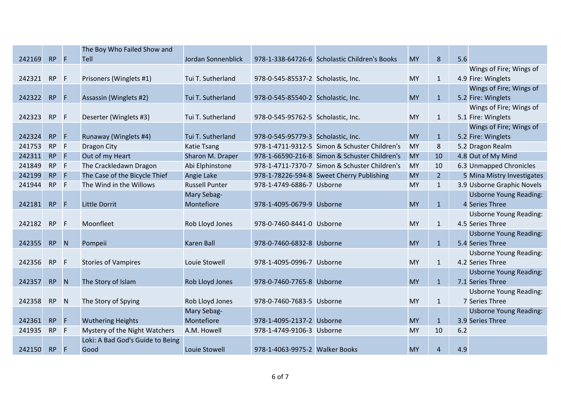|           |              | The Boy Who Failed Show and                                                     |                       |  |                                                                                                                                                                                                                                                                                                                                                                                                                                                                                                                                                                                                                                                                                                              |                |     |                               |
|-----------|--------------|---------------------------------------------------------------------------------|-----------------------|--|--------------------------------------------------------------------------------------------------------------------------------------------------------------------------------------------------------------------------------------------------------------------------------------------------------------------------------------------------------------------------------------------------------------------------------------------------------------------------------------------------------------------------------------------------------------------------------------------------------------------------------------------------------------------------------------------------------------|----------------|-----|-------------------------------|
|           |              | Tell                                                                            | Jordan Sonnenblick    |  | <b>MY</b>                                                                                                                                                                                                                                                                                                                                                                                                                                                                                                                                                                                                                                                                                                    | 8              | 5.6 |                               |
|           |              |                                                                                 |                       |  |                                                                                                                                                                                                                                                                                                                                                                                                                                                                                                                                                                                                                                                                                                              |                |     | Wings of Fire; Wings of       |
| <b>RP</b> |              | Prisoners (Winglets #1)                                                         | Tui T. Sutherland     |  | <b>MY</b>                                                                                                                                                                                                                                                                                                                                                                                                                                                                                                                                                                                                                                                                                                    | $\mathbf{1}$   |     | 4.9 Fire: Winglets            |
|           |              |                                                                                 |                       |  |                                                                                                                                                                                                                                                                                                                                                                                                                                                                                                                                                                                                                                                                                                              |                |     | Wings of Fire; Wings of       |
| <b>RP</b> | F            | Assassin (Winglets #2)                                                          | Tui T. Sutherland     |  | <b>MY</b>                                                                                                                                                                                                                                                                                                                                                                                                                                                                                                                                                                                                                                                                                                    | $\mathbf{1}$   |     | 5.2 Fire: Winglets            |
|           |              |                                                                                 |                       |  |                                                                                                                                                                                                                                                                                                                                                                                                                                                                                                                                                                                                                                                                                                              |                |     | Wings of Fire; Wings of       |
| <b>RP</b> |              | Deserter (Winglets #3)                                                          | Tui T. Sutherland     |  | <b>MY</b>                                                                                                                                                                                                                                                                                                                                                                                                                                                                                                                                                                                                                                                                                                    | $\mathbf{1}$   |     | 5.1 Fire: Winglets            |
|           |              |                                                                                 |                       |  |                                                                                                                                                                                                                                                                                                                                                                                                                                                                                                                                                                                                                                                                                                              |                |     | Wings of Fire; Wings of       |
| <b>RP</b> | F            | Runaway (Winglets #4)                                                           | Tui T. Sutherland     |  | <b>MY</b>                                                                                                                                                                                                                                                                                                                                                                                                                                                                                                                                                                                                                                                                                                    | $\mathbf{1}$   |     | 5.2 Fire: Winglets            |
| <b>RP</b> | $\mathsf{F}$ | <b>Dragon City</b>                                                              | <b>Katie Tsang</b>    |  | <b>MY</b>                                                                                                                                                                                                                                                                                                                                                                                                                                                                                                                                                                                                                                                                                                    | 8              |     | 5.2 Dragon Realm              |
| <b>RP</b> | F            | Out of my Heart                                                                 | Sharon M. Draper      |  | <b>MY</b>                                                                                                                                                                                                                                                                                                                                                                                                                                                                                                                                                                                                                                                                                                    | 10             |     | 4.8 Out of My Mind            |
| <b>RP</b> |              | The Crackledawn Dragon                                                          | Abi Elphinstone       |  | <b>MY</b>                                                                                                                                                                                                                                                                                                                                                                                                                                                                                                                                                                                                                                                                                                    | 10             |     | 6.3 Unmapped Chronicles       |
| <b>RP</b> | F            | The Case of the Bicycle Thief                                                   | Angie Lake            |  | <b>MY</b>                                                                                                                                                                                                                                                                                                                                                                                                                                                                                                                                                                                                                                                                                                    | $\overline{2}$ |     | 5 Mina Mistry Investigates    |
| <b>RP</b> |              | The Wind in the Willows                                                         | <b>Russell Punter</b> |  | <b>MY</b>                                                                                                                                                                                                                                                                                                                                                                                                                                                                                                                                                                                                                                                                                                    | $\mathbf{1}$   |     | 3.9 Usborne Graphic Novels    |
|           |              |                                                                                 | Mary Sebag-           |  |                                                                                                                                                                                                                                                                                                                                                                                                                                                                                                                                                                                                                                                                                                              |                |     | <b>Usborne Young Reading:</b> |
| <b>RP</b> | F            | <b>Little Dorrit</b>                                                            | Montefiore            |  | <b>MY</b>                                                                                                                                                                                                                                                                                                                                                                                                                                                                                                                                                                                                                                                                                                    | $\mathbf{1}$   |     | 4 Series Three                |
|           |              |                                                                                 |                       |  |                                                                                                                                                                                                                                                                                                                                                                                                                                                                                                                                                                                                                                                                                                              |                |     | <b>Usborne Young Reading:</b> |
| <b>RP</b> |              | Moonfleet                                                                       | Rob Lloyd Jones       |  | <b>MY</b>                                                                                                                                                                                                                                                                                                                                                                                                                                                                                                                                                                                                                                                                                                    | $\mathbf{1}$   |     | 4.5 Series Three              |
|           |              |                                                                                 |                       |  |                                                                                                                                                                                                                                                                                                                                                                                                                                                                                                                                                                                                                                                                                                              |                |     | <b>Usborne Young Reading:</b> |
| <b>RP</b> |              | Pompeii                                                                         | <b>Karen Ball</b>     |  | <b>MY</b>                                                                                                                                                                                                                                                                                                                                                                                                                                                                                                                                                                                                                                                                                                    | $\mathbf{1}$   |     | 5.4 Series Three              |
|           |              |                                                                                 |                       |  |                                                                                                                                                                                                                                                                                                                                                                                                                                                                                                                                                                                                                                                                                                              |                |     | <b>Usborne Young Reading:</b> |
| <b>RP</b> |              | <b>Stories of Vampires</b>                                                      | Louie Stowell         |  | <b>MY</b>                                                                                                                                                                                                                                                                                                                                                                                                                                                                                                                                                                                                                                                                                                    | $\mathbf{1}$   |     | 4.2 Series Three              |
|           |              |                                                                                 |                       |  |                                                                                                                                                                                                                                                                                                                                                                                                                                                                                                                                                                                                                                                                                                              |                |     | <b>Usborne Young Reading:</b> |
| <b>RP</b> |              | The Story of Islam                                                              | Rob Lloyd Jones       |  | <b>MY</b>                                                                                                                                                                                                                                                                                                                                                                                                                                                                                                                                                                                                                                                                                                    | $\mathbf{1}$   |     | 7.1 Series Three              |
|           |              |                                                                                 |                       |  |                                                                                                                                                                                                                                                                                                                                                                                                                                                                                                                                                                                                                                                                                                              |                |     | <b>Usborne Young Reading:</b> |
| <b>RP</b> |              | The Story of Spying                                                             | Rob Lloyd Jones       |  | <b>MY</b>                                                                                                                                                                                                                                                                                                                                                                                                                                                                                                                                                                                                                                                                                                    | 1              |     | 7 Series Three                |
|           |              |                                                                                 | Mary Sebag-           |  |                                                                                                                                                                                                                                                                                                                                                                                                                                                                                                                                                                                                                                                                                                              |                |     | <b>Usborne Young Reading:</b> |
| <b>RP</b> | F            | <b>Wuthering Heights</b>                                                        | Montefiore            |  | <b>MY</b>                                                                                                                                                                                                                                                                                                                                                                                                                                                                                                                                                                                                                                                                                                    | $\mathbf{1}$   |     | 3.9 Series Three              |
| <b>RP</b> |              | Mystery of the Night Watchers                                                   | A.M. Howell           |  | <b>MY</b>                                                                                                                                                                                                                                                                                                                                                                                                                                                                                                                                                                                                                                                                                                    | 10             | 6.2 |                               |
|           |              | Loki: A Bad God's Guide to Being                                                |                       |  |                                                                                                                                                                                                                                                                                                                                                                                                                                                                                                                                                                                                                                                                                                              |                |     |                               |
| <b>RP</b> | F            | Good                                                                            | Louie Stowell         |  | <b>MY</b>                                                                                                                                                                                                                                                                                                                                                                                                                                                                                                                                                                                                                                                                                                    | $\overline{4}$ | 4.9 |                               |
|           |              | RP F<br>$\mathsf{F}$<br>$\mathsf{F}$<br>F<br>-F<br>F<br>N<br>- F<br>N<br>N<br>F |                       |  | 978-1-338-64726-6 Scholastic Children's Books<br>978-0-545-85537-2 Scholastic, Inc.<br>978-0-545-85540-2 Scholastic, Inc.<br>978-0-545-95762-5 Scholastic, Inc.<br>978-0-545-95779-3 Scholastic, Inc.<br>978-1-4711-9312-5 Simon & Schuster Children's<br>978-1-66590-216-8 Simon & Schuster Children's<br>978-1-4711-7370-7 Simon & Schuster Children's<br>978-1-78226-594-8 Sweet Cherry Publishing<br>978-1-4749-6886-7 Usborne<br>978-1-4095-0679-9 Usborne<br>978-0-7460-8441-0 Usborne<br>978-0-7460-6832-8 Usborne<br>978-1-4095-0996-7 Usborne<br>978-0-7460-7765-8 Usborne<br>978-0-7460-7683-5 Usborne<br>978-1-4095-2137-2 Usborne<br>978-1-4749-9106-3 Usborne<br>978-1-4063-9975-2 Walker Books |                |     |                               |